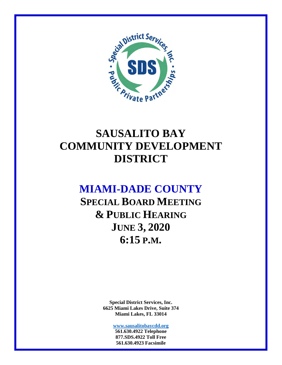

# **SAUSALITO BAY COMMUNITY DEVELOPMENT DISTRICT**

# **MIAMI-DADE COUNTY**

**SPECIAL BOARD MEETING & PUBLIC HEARING JUNE 3, 2020 6:15 P.M.** 

> **Special District Services, Inc. 6625 Miami Lakes Drive, Suite 374 Miami Lakes, FL 33014**

> > **www.sausalitobaycdd.org 561.630.4922 Telephone 877.SDS.4922 Toll Free 561.630.4923 Facsimile**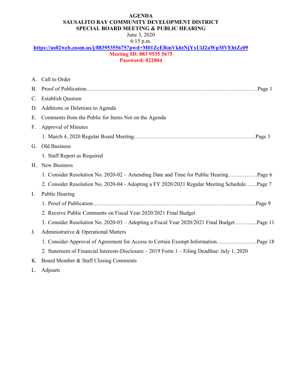#### **AGENDA SAUSALITO BAY COMMUNITY DEVELOPMENT DISTRICT SPECIAL BOARD MEETING & PUBLIC HEARING**

#### June 3, 2020 6:15 p.m.

### **https://us02web.zoom.us/j/88395355675?pwd=M01ZcERmVkhtNjYxUlJ2aWpMVEhtZz09 Meeting ID: 883 9535 5675**

#### **Password: 022004**

|             | A. Call to Order                                                                             |
|-------------|----------------------------------------------------------------------------------------------|
| <b>B.</b>   |                                                                                              |
| $C_{\cdot}$ | <b>Establish Quorum</b>                                                                      |
| D.          | Additions or Deletions to Agenda                                                             |
| Ε.          | Comments from the Public for Items Not on the Agenda                                         |
| F.          | <b>Approval of Minutes</b>                                                                   |
|             |                                                                                              |
| G.          | Old Business                                                                                 |
|             | 1. Staff Report as Required                                                                  |
|             | H. New Business                                                                              |
|             | 1. Consider Resolution No. 2020-02 – Amending Date and Time for Public HearingPage 6         |
|             | 2. Consider Resolution No. 2020-04 - Adopting a FY 2020/2021 Regular Meeting SchedulePage 7  |
| I.          | <b>Public Hearing</b>                                                                        |
|             |                                                                                              |
|             | 2. Receive Public Comments on Fiscal Year 2020/2021 Final Budget                             |
|             | 3. Consider Resolution No. 2020-03 - Adopting a Fiscal Year 2020/2021 Final BudgetPage 11    |
| J.          | Administrative & Operational Matters                                                         |
|             | 1. Consider Approval of Agreement for Access to Certain Exempt InformationPage 18            |
|             | 2. Statement of Financial Interests-Disclosure - 2019 Form 1 - Filing Deadline: July 1, 2020 |
|             | K. Board Member & Staff Closing Comments                                                     |

L. Adjourn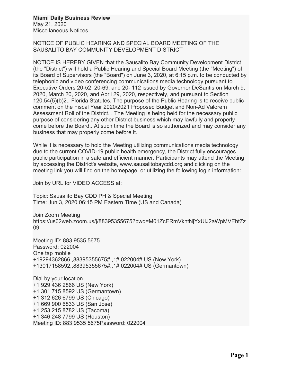#### **Miami Daily Business Review** May 21, 2020

Miscellaneous Notices

NOTICE OF PUBLIC HEARING AND SPECIAL BOARD MEETING OF THE SAUSALITO BAY COMMUNITY DEVELOPMENT DISTRICT

NOTICE IS HEREBY GIVEN that the Sausalito Bay Community Development District (the "District") will hold a Public Hearing and Special Board Meeting (the "Meeting") of its Board of Supervisors (the "Board") on June 3, 2020, at 6:15 p.m. to be conducted by telephonic and video conferencing communications media technology pursuant to Executive Orders 20-52, 20-69, and 20- 112 issued by Governor DeSantis on March 9, 2020, March 20, 2020, and April 29, 2020, respectively, and pursuant to Section 120.54(5)(b)2., Florida Statutes. The purpose of the Public Hearing is to receive public comment on the Fiscal Year 2020/2021 Proposed Budget and Non-Ad Valorem Assessment Roll of the District. . The Meeting is being held for the necessary public purpose of considering any other District business which may lawfully and properly come before the Board.. At such time the Board is so authorized and may consider any business that may properly come before it.

While it is necessary to hold the Meeting utilizing communications media technology due to the current COVID-19 public health emergency, the District fully encourages public participation in a safe and efficient manner. Participants may attend the Meeting by accessing the District's website, www.sausalitobaycdd.org and clicking on the meeting link you will find on the homepage, or utilizing the following login information:

Join by URL for VIDEO ACCESS at:

Topic: Sausalito Bay CDD PH & Special Meeting Time: Jun 3, 2020 06:15 PM Eastern Time (US and Canada)

Join Zoom Meeting https://us02web.zoom.us/j/88395355675?pwd=M01ZcERmVkhtNjYxUlJ2aWpMVEhtZz 09

Meeting ID: 883 9535 5675 Password: 022004 One tap mobile +19294362866,,88395355675#,,1#,022004# US (New York) +13017158592,,88395355675#,,1#,022004# US (Germantown)

Dial by your location +1 929 436 2866 US (New York) +1 301 715 8592 US (Germantown) +1 312 626 6799 US (Chicago) +1 669 900 6833 US (San Jose) +1 253 215 8782 US (Tacoma) +1 346 248 7799 US (Houston) Meeting ID: 883 9535 5675Password: 022004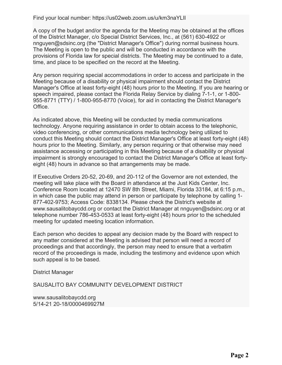Find your local number: https://us02web.zoom.us/u/km3naYLIl

A copy of the budget and/or the agenda for the Meeting may be obtained at the offices of the District Manager, c/o Special District Services, Inc., at (561) 630-4922 or nnguyen@sdsinc.org (the "District Manager's Office") during normal business hours. The Meeting is open to the public and will be conducted in accordance with the provisions of Florida law for special districts. The Meeting may be continued to a date, time, and place to be specified on the record at the Meeting.

Any person requiring special accommodations in order to access and participate in the Meeting because of a disability or physical impairment should contact the District Manager's Office at least forty-eight (48) hours prior to the Meeting. If you are hearing or speech impaired, please contact the Florida Relay Service by dialing 7-1-1, or 1-800- 955-8771 (TTY) / 1-800-955-8770 (Voice), for aid in contacting the District Manager's Office.

As indicated above, this Meeting will be conducted by media communications technology. Anyone requiring assistance in order to obtain access to the telephonic, video conferencing, or other communications media technology being utilized to conduct this Meeting should contact the District Manager's Office at least forty-eight (48) hours prior to the Meeting. Similarly, any person requiring or that otherwise may need assistance accessing or participating in this Meeting because of a disability or physical impairment is strongly encouraged to contact the District Manager's Office at least fortyeight (48) hours in advance so that arrangements may be made.

If Executive Orders 20-52, 20-69, and 20-112 of the Governor are not extended, the meeting will take place with the Board in attendance at the Just Kids Center, Inc. Conference Room located at 12470 SW 8th Street, Miami, Florida 33184, at 6:15 p.m., in which case the public may attend in person or participate by telephone by calling 1- 877-402-9753; Access Code: 8338134. Please check the District's website at www.sausalitobaycdd.org or contact the District Manager at nnguyen@sdsinc.org or at telephone number 786-453-0533 at least forty-eight (48) hours prior to the scheduled meeting for updated meeting location information.

Each person who decides to appeal any decision made by the Board with respect to any matter considered at the Meeting is advised that person will need a record of proceedings and that accordingly, the person may need to ensure that a verbatim record of the proceedings is made, including the testimony and evidence upon which such appeal is to be based.

District Manager

SAUSALITO BAY COMMUNITY DEVELOPMENT DISTRICT

www.sausalitobaycdd.org 5/14-21 20-18/0000469927M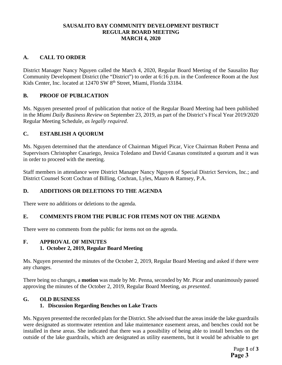#### **SAUSALITO BAY COMMUNITY DEVELOPMENT DISTRICT REGULAR BOARD MEETING MARCH 4, 2020**

#### **A. CALL TO ORDER**

District Manager Nancy Nguyen called the March 4, 2020, Regular Board Meeting of the Sausalito Bay Community Development District (the "District") to order at 6:16 p.m. in the Conference Room at the Just Kids Center, Inc. located at 12470 SW 8<sup>th</sup> Street, Miami, Florida 33184.

#### **B. PROOF OF PUBLICATION**

Ms. Nguyen presented proof of publication that notice of the Regular Board Meeting had been published in the *Miami Daily Business Review* on September 23, 2019, as part of the District's Fiscal Year 2019/2020 Regular Meeting Schedule, *as legally required*.

#### **C. ESTABLISH A QUORUM**

Ms. Nguyen determined that the attendance of Chairman Miguel Picar, Vice Chairman Robert Penna and Supervisors Christopher Casariego, Jessica Toledano and David Casanas constituted a quorum and it was in order to proceed with the meeting.

Staff members in attendance were District Manager Nancy Nguyen of Special District Services, Inc.; and District Counsel Scott Cochran of Billing, Cochran, Lyles, Mauro & Ramsey, P.A.

#### **D. ADDITIONS OR DELETIONS TO THE AGENDA**

There were no additions or deletions to the agenda.

#### **E. COMMENTS FROM THE PUBLIC FOR ITEMS NOT ON THE AGENDA**

There were no comments from the public for items not on the agenda.

#### **F. APPROVAL OF MINUTES 1. October 2, 2019, Regular Board Meeting**

Ms. Nguyen presented the minutes of the October 2, 2019, Regular Board Meeting and asked if there were any changes.

There being no changes, a **motion** was made by Mr. Penna, seconded by Mr. Picar and unanimously passed approving the minutes of the October 2, 2019, Regular Board Meeting, *as presented*.

#### **G. OLD BUSINESS**

#### **1. Discussion Regarding Benches on Lake Tracts**

Ms. Nguyen presented the recorded plats for the District. She advised that the areas inside the lake guardrails were designated as stormwater retention and lake maintenance easement areas, and benches could not be installed in these areas. She indicated that there was a possibility of being able to install benches on the outside of the lake guardrails, which are designated as utility easements, but it would be advisable to get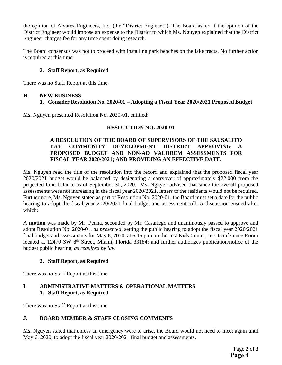the opinion of Alvarez Engineers, Inc. (the "District Engineer"). The Board asked if the opinion of the District Engineer would impose an expense to the District to which Ms. Nguyen explained that the District Engineer charges fee for any time spent doing research.

The Board consensus was not to proceed with installing park benches on the lake tracts. No further action is required at this time.

#### **2. Staff Report, as Required**

There was no Staff Report at this time.

#### **H. NEW BUSINESS**

#### **1. Consider Resolution No. 2020-01 – Adopting a Fiscal Year 2020/2021 Proposed Budget**

Ms. Nguyen presented Resolution No. 2020-01, entitled:

#### **RESOLUTION NO. 2020-01**

#### **A RESOLUTION OF THE BOARD OF SUPERVISORS OF THE SAUSALITO BAY COMMUNITY DEVELOPMENT DISTRICT APPROVING A PROPOSED BUDGET AND NON-AD VALOREM ASSESSMENTS FOR FISCAL YEAR 2020/2021; AND PROVIDING AN EFFECTIVE DATE.**

Ms. Nguyen read the title of the resolution into the record and explained that the proposed fiscal year 2020/2021 budget would be balanced by designating a carryover of approximately \$22,000 from the projected fund balance as of September 30, 2020. Ms. Nguyen advised that since the overall proposed assessments were not increasing in the fiscal year 2020/2021, letters to the residents would not be required. Furthermore, Ms. Nguyen stated as part of Resolution No. 2020-01, the Board must set a date for the public hearing to adopt the fiscal year 2020/2021 final budget and assessment roll. A discussion ensued after which:

A **motion** was made by Mr. Penna, seconded by Mr. Casariego and unanimously passed to approve and adopt Resolution No. 2020-01, *as presented,* setting the public hearing to adopt the fiscal year 2020/2021 final budget and assessments for May 6, 2020, at 6:15 p.m. in the Just Kids Center, Inc. Conference Room located at 12470 SW 8<sup>th</sup> Street, Miami, Florida 33184; and further authorizes publication/notice of the budget public hearing, *as required by law*.

#### **2. Staff Report, as Required**

There was no Staff Report at this time.

#### **I. ADMINISTRATIVE MATTERS & OPERATIONAL MATTERS 1. Staff Report, as Required**

There was no Staff Report at this time.

#### **J. BOARD MEMBER & STAFF CLOSING COMMENTS**

Ms. Nguyen stated that unless an emergency were to arise, the Board would not need to meet again until May 6, 2020, to adopt the fiscal year 2020/2021 final budget and assessments.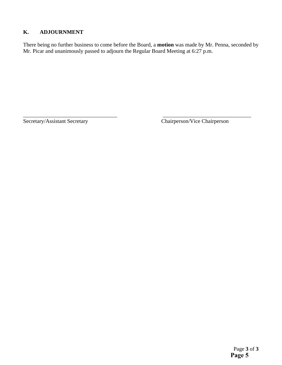#### **K. ADJOURNMENT**

There being no further business to come before the Board, a **motion** was made by Mr. Penna, seconded by Mr. Picar and unanimously passed to adjourn the Regular Board Meeting at 6:27 p.m.

\_\_\_\_\_\_\_\_\_\_\_\_\_\_\_\_\_\_\_\_\_\_\_\_\_\_\_\_\_\_\_\_\_\_ \_\_\_\_\_\_\_\_\_\_\_\_\_\_\_\_\_\_\_\_\_\_\_\_\_\_\_\_\_\_\_\_

Secretary/Assistant Secretary Chairperson/Vice Chairperson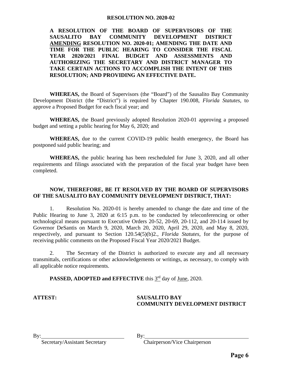#### **RESOLUTION NO. 2020-02**

**A RESOLUTION OF THE BOARD OF SUPERVISORS OF THE SAUSALITO BAY COMMUNITY DEVELOPMENT DISTRICT AMENDING RESOLUTION NO. 2020-01; AMENDING THE DATE AND TIME FOR THE PUBLIC HEARING TO CONSIDER THE FISCAL YEAR 2020/2021 FINAL BUDGET AND ASSESSMENTS AND AUTHORIZING THE SECRETARY AND DISTRICT MANAGER TO TAKE CERTAIN ACTIONS TO ACCOMPLISH THE INTENT OF THIS RESOLUTION; AND PROVIDING AN EFFECTIVE DATE.** 

 **WHEREAS,** the Board of Supervisors (the "Board") of the Sausalito Bay Community Development District (the "District") is required by Chapter 190.008, *Florida Statutes*, to approve a Proposed Budget for each fiscal year; and

 **WHEREAS,** the Board previously adopted Resolution 2020-01 approving a proposed budget and setting a public hearing for May 6, 2020; and

 **WHEREAS,** due to the current COVID-19 public health emergency, the Board has postponed said public hearing; and

 **WHEREAS,** the public hearing has been rescheduled for June 3, 2020, and all other requirements and filings associated with the preparation of the fiscal year budget have been completed.

#### **NOW, THEREFORE, BE IT RESOLVED BY THE BOARD OF SUPERVISORS OF THE SAUSALITO BAY COMMUNITY DEVELOPMENT DISTRICT, THAT:**

1. Resolution No. 2020-01 is hereby amended to change the date and time of the Public Hearing to June 3, 2020 at 6:15 p.m. to be conducted by teleconferencing or other technological means pursuant to Executive Orders 20-52, 20-69, 20-112, and 20-114 issued by Governor DeSantis on March 9, 2020, March 20, 2020, April 29, 2020, and May 8, 2020, respectively, and pursuant to Section 120.54(5)(b)2., *Florida Statutes*, for the purpose of receiving public comments on the Proposed Fiscal Year 2020/2021 Budget.

2. The Secretary of the District is authorized to execute any and all necessary transmittals, certifications or other acknowledgements or writings, as necessary, to comply with all applicable notice requirements.

**PASSED, ADOPTED and EFFECTIVE** this 3<sup>rd</sup> day of June, 2020.

#### **ATTEST: SAUSALITO BAY COMMUNITY DEVELOPMENT DISTRICT**

Secretary/Assistant Secretary Chairperson/Vice Chairperson

By: By: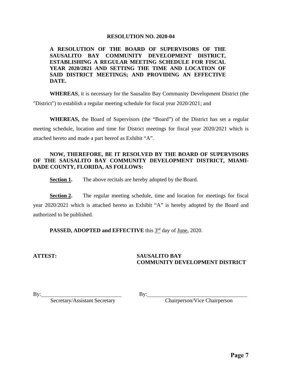#### **RESOLUTION NO. 2020-04**

**A RESOLUTION OF THE BOARD OF SUPERVISORS OF THE SAUSALITO BAY COMMUNITY DEVELOPMENT DISTRICT, ESTABLISHING A REGULAR MEETING SCHEDULE FOR FISCAL YEAR 2020/2021 AND SETTING THE TIME AND LOCATION OF SAID DISTRICT MEETINGS; AND PROVIDING AN EFFECTIVE DATE.** 

**WHEREAS**, it is necessary for the Sausalito Bay Community Development District (the "District") to establish a regular meeting schedule for fiscal year 2020/2021; and

**WHEREAS,** the Board of Supervisors (the "Board") of the District has set a regular meeting schedule, location and time for District meetings for fiscal year 2020/2021 which is attached hereto and made a part hereof as Exhibit "A".

#### **NOW, THEREFORE, BE IT RESOLVED BY THE BOARD OF SUPERVISORS OF THE SAUSALITO BAY COMMUNITY DEVELOPMENT DISTRICT, MIAMI-DADE COUNTY, FLORIDA, AS FOLLOWS:**

**Section 1.** The above recitals are hereby adopted by the Board.

**Section 2.** The regular meeting schedule, time and location for meetings for fiscal year 2020/2021 which is attached hereto as Exhibit "A" is hereby adopted by the Board and authorized to be published.

**PASSED, ADOPTED and EFFECTIVE** this  $3^{rd}$  day of June, 2020.

#### **ATTEST: SAUSALITO BAY COMMUNITY DEVELOPMENT DISTRICT**

By: Secretary/Assistant Secretary

By: Chairperson/Vice Chairperson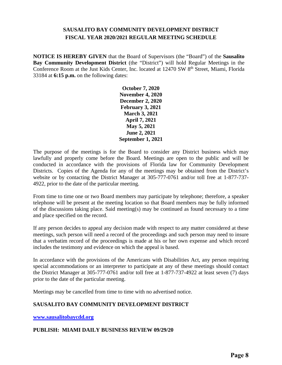#### **SAUSALITO BAY COMMUNITY DEVELOPMENT DISTRICT FISCAL YEAR 2020/2021 REGULAR MEETING SCHEDULE**

**NOTICE IS HEREBY GIVEN** that the Board of Supervisors (the "Board") of the **Sausalito Bay Community Development District** (the "District") will hold Regular Meetings in the Conference Room at the Just Kids Center, Inc. located at 12470 SW 8<sup>th</sup> Street, Miami, Florida 33184 at **6:15 p.m.** on the following dates:

> **October 7, 2020 November 4, 2020 December 2, 2020 February 3, 2021 March 3, 2021 April 7, 2021 May 5, 2021 June 2, 2021 September 1, 2021**

The purpose of the meetings is for the Board to consider any District business which may lawfully and properly come before the Board. Meetings are open to the public and will be conducted in accordance with the provisions of Florida law for Community Development Districts. Copies of the Agenda for any of the meetings may be obtained from the District's website or by contacting the District Manager at 305-777-0761 and/or toll free at 1-877-737- 4922, prior to the date of the particular meeting.

From time to time one or two Board members may participate by telephone; therefore, a speaker telephone will be present at the meeting location so that Board members may be fully informed of the discussions taking place. Said meeting(s) may be continued as found necessary to a time and place specified on the record.

If any person decides to appeal any decision made with respect to any matter considered at these meetings, such person will need a record of the proceedings and such person may need to insure that a verbatim record of the proceedings is made at his or her own expense and which record includes the testimony and evidence on which the appeal is based.

In accordance with the provisions of the Americans with Disabilities Act, any person requiring special accommodations or an interpreter to participate at any of these meetings should contact the District Manager at 305-777-0761 and/or toll free at 1-877-737-4922 at least seven (7) days prior to the date of the particular meeting.

Meetings may be cancelled from time to time with no advertised notice.

#### **SAUSALITO BAY COMMUNITY DEVELOPMENT DISTRICT**

**www.sausalitobaycdd.org**

#### **PUBLISH: MIAMI DAILY BUSINESS REVIEW 09/29/20**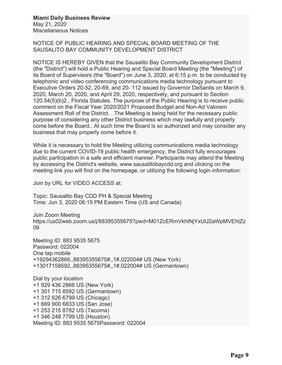#### **Miami Daily Business Review** May 21, 2020

Miscellaneous Notices

NOTICE OF PUBLIC HEARING AND SPECIAL BOARD MEETING OF THE SAUSALITO BAY COMMUNITY DEVELOPMENT DISTRICT

NOTICE IS HEREBY GIVEN that the Sausalito Bay Community Development District (the "District") will hold a Public Hearing and Special Board Meeting (the "Meeting") of its Board of Supervisors (the "Board") on June 3, 2020, at 6:15 p.m. to be conducted by telephonic and video conferencing communications media technology pursuant to Executive Orders 20-52, 20-69, and 20- 112 issued by Governor DeSantis on March 9, 2020, March 20, 2020, and April 29, 2020, respectively, and pursuant to Section 120.54(5)(b)2., Florida Statutes. The purpose of the Public Hearing is to receive public comment on the Fiscal Year 2020/2021 Proposed Budget and Non-Ad Valorem Assessment Roll of the District. . The Meeting is being held for the necessary public purpose of considering any other District business which may lawfully and properly come before the Board.. At such time the Board is so authorized and may consider any business that may properly come before it.

While it is necessary to hold the Meeting utilizing communications media technology due to the current COVID-19 public health emergency, the District fully encourages public participation in a safe and efficient manner. Participants may attend the Meeting by accessing the District's website, www.sausalitobaycdd.org and clicking on the meeting link you will find on the homepage, or utilizing the following login information:

Join by URL for VIDEO ACCESS at:

Topic: Sausalito Bay CDD PH & Special Meeting Time: Jun 3, 2020 06:15 PM Eastern Time (US and Canada)

Join Zoom Meeting https://us02web.zoom.us/j/88395355675?pwd=M01ZcERmVkhtNjYxUlJ2aWpMVEhtZz 09

Meeting ID: 883 9535 5675 Password: 022004 One tap mobile +19294362866,,88395355675#,,1#,022004# US (New York) +13017158592,,88395355675#,,1#,022004# US (Germantown)

Dial by your location +1 929 436 2866 US (New York) +1 301 715 8592 US (Germantown) +1 312 626 6799 US (Chicago) +1 669 900 6833 US (San Jose) +1 253 215 8782 US (Tacoma) +1 346 248 7799 US (Houston) Meeting ID: 883 9535 5675Password: 022004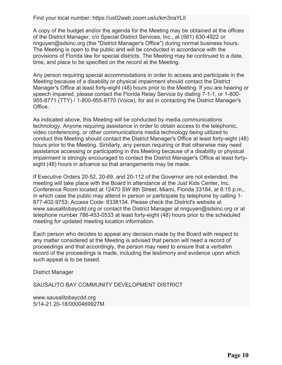Find your local number: https://us02web.zoom.us/u/km3naYLIl

A copy of the budget and/or the agenda for the Meeting may be obtained at the offices of the District Manager, c/o Special District Services, Inc., at (561) 630-4922 or nnguyen@sdsinc.org (the "District Manager's Office") during normal business hours. The Meeting is open to the public and will be conducted in accordance with the provisions of Florida law for special districts. The Meeting may be continued to a date, time, and place to be specified on the record at the Meeting.

Any person requiring special accommodations in order to access and participate in the Meeting because of a disability or physical impairment should contact the District Manager's Office at least forty-eight (48) hours prior to the Meeting. If you are hearing or speech impaired, please contact the Florida Relay Service by dialing 7-1-1, or 1-800- 955-8771 (TTY) / 1-800-955-8770 (Voice), for aid in contacting the District Manager's Office.

As indicated above, this Meeting will be conducted by media communications technology. Anyone requiring assistance in order to obtain access to the telephonic, video conferencing, or other communications media technology being utilized to conduct this Meeting should contact the District Manager's Office at least forty-eight (48) hours prior to the Meeting. Similarly, any person requiring or that otherwise may need assistance accessing or participating in this Meeting because of a disability or physical impairment is strongly encouraged to contact the District Manager's Office at least fortyeight (48) hours in advance so that arrangements may be made.

If Executive Orders 20-52, 20-69, and 20-112 of the Governor are not extended, the meeting will take place with the Board in attendance at the Just Kids Center, Inc. Conference Room located at 12470 SW 8th Street, Miami, Florida 33184, at 6:15 p.m., in which case the public may attend in person or participate by telephone by calling 1- 877-402-9753; Access Code: 8338134. Please check the District's website at www.sausalitobaycdd.org or contact the District Manager at nnguyen@sdsinc.org or at telephone number 786-453-0533 at least forty-eight (48) hours prior to the scheduled meeting for updated meeting location information.

Each person who decides to appeal any decision made by the Board with respect to any matter considered at the Meeting is advised that person will need a record of proceedings and that accordingly, the person may need to ensure that a verbatim record of the proceedings is made, including the testimony and evidence upon which such appeal is to be based.

District Manager

SAUSALITO BAY COMMUNITY DEVELOPMENT DISTRICT

www.sausalitobaycdd.org 5/14-21 20-18/0000469927M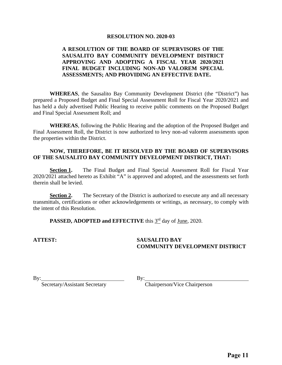#### **RESOLUTION NO. 2020-03**

#### **A RESOLUTION OF THE BOARD OF SUPERVISORS OF THE SAUSALITO BAY COMMUNITY DEVELOPMENT DISTRICT APPROVING AND ADOPTING A FISCAL YEAR 2020/2021 FINAL BUDGET INCLUDING NON-AD VALOREM SPECIAL ASSESSMENTS; AND PROVIDING AN EFFECTIVE DATE.**

 **WHEREAS**, the Sausalito Bay Community Development District (the "District") has prepared a Proposed Budget and Final Special Assessment Roll for Fiscal Year 2020/2021 and has held a duly advertised Public Hearing to receive public comments on the Proposed Budget and Final Special Assessment Roll; and

**WHEREAS**, following the Public Hearing and the adoption of the Proposed Budget and Final Assessment Roll, the District is now authorized to levy non-ad valorem assessments upon the properties within the District.

#### **NOW, THEREFORE, BE IT RESOLVED BY THE BOARD OF SUPERVISORS OF THE SAUSALITO BAY COMMUNITY DEVELOPMENT DISTRICT, THAT:**

**Section 1.** The Final Budget and Final Special Assessment Roll for Fiscal Year 2020/2021 attached hereto as Exhibit "A" is approved and adopted, and the assessments set forth therein shall be levied.

**Section 2.** The Secretary of the District is authorized to execute any and all necessary transmittals, certifications or other acknowledgements or writings, as necessary, to comply with the intent of this Resolution.

PASSED, ADOPTED and EFFECTIVE this 3<sup>rd</sup> day of June, 2020.

#### **ATTEST: SAUSALITO BAY COMMUNITY DEVELOPMENT DISTRICT**

By: Secretary/Assistant Secretary

By:<br>Chairperson/Vice Chairperson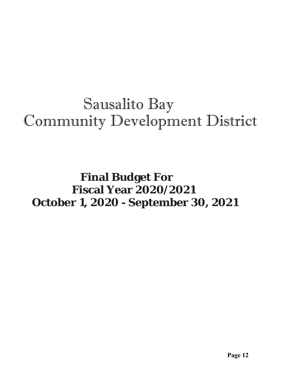# Sausalito Bay Community Development District

# **Final Budget For Fiscal Year 2020/2021 October 1, 2020 - September 30, 2021**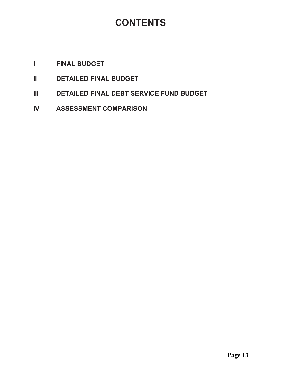# **CONTENTS**

## *I* FINAL BUDGET

- **II DETAILED FINAL BUDGET**
- **III DETAILED FINAL DEBT SERVICE FUND BUDGET**
- **IV ASSESSMENT COMPARISON**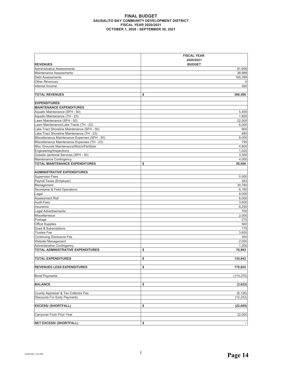#### **FINAL BUDGET SAUSALITO BAY COMMUNITY DEVELOPMENT DISTRICT FISCAL YEAR 2020/2021 2021 THE PROPER 1, 2020 - SEPTEMBER 30, 2021**

|                                               | <b>FISCAL YEAR</b><br>2020/2021 |
|-----------------------------------------------|---------------------------------|
| <b>REVENUES</b>                               | <b>BUDGET</b>                   |
| <b>Administrative Assessments</b>             | 81,908                          |
| <b>Maintenance Assessments</b>                | 38,989                          |
| <b>Debt Assessments</b>                       | 185,399                         |
| <b>Other Revenues</b>                         | 0                               |
| Interest Income                               | 300                             |
| <b>TOTAL REVENUES</b>                         | \$<br>306,596                   |
| <b>EXPENDITURES</b>                           |                                 |
| <b>MAINTENANCE EXPENDITURES</b>               |                                 |
| Aquatic Maintenance (SFH - 50)                | 5,400                           |
| Aquatic Maintenance (TH - 23)                 | 1,800                           |
| Lawn Maintenance (SFH - 50)                   | 22,500                          |
| Lawn Maintenance/Lake Tracts (TH - 23)        | 6,000                           |
| Lake Tract Shoreline Maintenance (SFH - 50)   | 900                             |
| Lake Tract Shoreline Maintenance (TH - 23)    | 480                             |
| Miscellaneous Maintenance Expenses (SFH - 50) | 8,000                           |
| Miscellaneous Maintenance Expenses (TH - 23)  | 750                             |
| Misc Grounds Maintenance/Mulch/Fertilizer     | 4,800                           |
| Engineering/Inspections                       | 1,020                           |
| Outside Janitorial Services (SFH - 50)        | 3,300                           |
| Maintenance Contingency                       | 4,000                           |
| <b>TOTAL MAINTENANCE EXPENDITURES</b>         | \$<br>58,950                    |
| <b>ADMINISTRATIVE EXPENDITURES</b>            |                                 |
| <b>Supervisor Fees</b>                        | 5,000                           |
| Payroll Taxes (Employer)                      | 383                             |
| Management                                    | 30,780                          |
| Secretarial & Field Operations                | 6,180                           |
| Legal                                         | 8,000                           |
| Assessment Roll                               | 6,000                           |
| <b>Audit Fees</b>                             | 3,600                           |
| Insurance                                     | 6,250                           |
| Legal Advertisements                          | 700                             |
| Miscellaneous                                 | 2,000                           |
| Postage                                       | 275                             |
| <b>Office Supplies</b>                        | 500                             |
| Dues & Subscriptions                          | 175                             |
| <b>Trustee Fee</b>                            | 3,600                           |
| <b>Continuing Disclosure Fee</b>              | 350                             |
| Website Management                            | 2,000                           |
| <b>Administrative Contingency</b>             | 1,200                           |
| TOTAL ADMINISTRATIVE EXPENDITURES             | \$<br>76,993                    |
| <b>TOTAL EXPENDITURES</b>                     | \$<br>135,943                   |
|                                               |                                 |
| <b>REVENUES LESS EXPENDITURES</b>             | \$<br>170,653                   |
| <b>Bond Payments</b>                          | (174, 275)                      |
|                                               |                                 |
| <b>BALANCE</b>                                | \$<br>(3,622)                   |
| County Appraiser & Tax Collector Fee          | (6, 126)                        |
| <b>Discounts For Early Payments</b>           | (12, 252)                       |
| <b>EXCESS/ (SHORTFALL)</b>                    | \$<br>(22,000)                  |
|                                               |                                 |
| Carryover From Prior Year                     | 22,000                          |
|                                               |                                 |
| <b>NET EXCESS/ (SHORTFALL)</b>                | \$                              |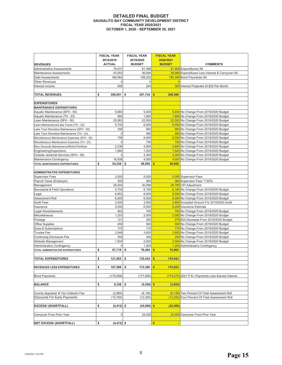#### **DETAILED FINAL BUDGET SAUSALITO BAY COMMUNITY DEVELOPMENT DISTRICT FISCAL YEAR 2020/2021 2021 THE PROPER 1, 2020 - SEPTEMBER 30, 2021**

| <b>REVENUES</b>                               | <b>FISCAL YEAR</b><br>2018/2019<br><b>ACTUAL</b> | <b>FISCAL YEAR</b><br>2019/2020<br><b>BUDGET</b> | <b>FISCAL YEAR</b><br>2020/2021<br><b>BUDGET</b> | <b>COMMENTS</b>                                    |  |  |
|-----------------------------------------------|--------------------------------------------------|--------------------------------------------------|--------------------------------------------------|----------------------------------------------------|--|--|
| Administrative Assessments                    | 79,431                                           | 81,366                                           |                                                  | 81,908 Expenditures/.94                            |  |  |
| Maintenance Assessments                       | 43,053                                           | 36,926                                           |                                                  | 38,989 Expenditures Less Interest & Carryover/.94  |  |  |
| <b>Debt Assessments</b>                       | 186,982                                          | 189,202                                          |                                                  | 185,399 Bond Payments/.94                          |  |  |
| Other Revenues                                | 0                                                | 0                                                | $\Omega$                                         |                                                    |  |  |
| Interest Income                               | 485                                              | 240                                              |                                                  | 300 Interest Projected At \$25 Per Month           |  |  |
|                                               |                                                  |                                                  |                                                  |                                                    |  |  |
| <b>TOTAL REVENUES</b>                         | \$<br>309,951                                    | \$<br>307,734                                    | 306,596<br>\$                                    |                                                    |  |  |
| <b>EXPENDITURES</b>                           |                                                  |                                                  |                                                  |                                                    |  |  |
| <b>MAINTENANCE EXPENDITURES</b>               |                                                  |                                                  |                                                  |                                                    |  |  |
| Aquatic Maintenance (SFH - 50)                | 5,660                                            | 5,400                                            |                                                  | 5,400 No Change From 2019/2020 Budget              |  |  |
| Aquatic Maintenance (TH - 23)                 | 460                                              | 1,800                                            |                                                  | 1,800 No Change From 2019/2020 Budget              |  |  |
| Lawn Maintenance (SFH - 50)                   | 20,063                                           | 22,500                                           |                                                  | 22,500 No Change From 2019/2020 Budget             |  |  |
| Lawn Maintenance/Lake Tracts (TH - 23)        | 5,754                                            | 6,000                                            |                                                  | 6,000 No Change From 2019/2020 Budget              |  |  |
| Lake Tract Shoreline Maintenance (SFH - 50)   | 350                                              | 900                                              |                                                  | 900 No Change From 2019/2020 Budget                |  |  |
| Lake Tract Shoreline Maintenance (TH - 23)    | $\mathbf 0$                                      | 480                                              |                                                  | 480 No Change From 2019/2020 Budget                |  |  |
| Miscellaneous Maintenance Expenses (SFH - 50) | 795                                              | 8,000                                            |                                                  | 8,000 No Change From 2019/2020 Budget              |  |  |
| Miscellaneous Maintenance Expenses (TH - 23)  | $\mathbf 0$                                      | 750                                              |                                                  | 750 No Change From 2019/2020 Budget                |  |  |
| Misc Grounds Maintenance/Mulch/Fertilizer     | 2,536                                            | 4,800                                            |                                                  | 4,800 No Change From 2019/2020 Budget              |  |  |
| Engineering/Inspections                       | 1,680                                            | 1,020                                            |                                                  | 1,020 No Change From 2019/2020 Budget              |  |  |
| Outside Janitorial Services (SFH - 50)        | $\mathbf 0$                                      | 3,300                                            |                                                  | 3,300 No Change From 2019/2020 Budget              |  |  |
| Maintenance Contingency                       | 16,938                                           | 4,000                                            |                                                  | 4,000 No Change From 2019/2020 Budget              |  |  |
| TOTAL MAINTENANCE EXPENDITURES                | \$<br>54,236                                     | \$<br>58,950                                     | 58,950<br>\$                                     |                                                    |  |  |
| <b>ADMINISTRATIVE EXPENDITURES</b>            |                                                  |                                                  |                                                  |                                                    |  |  |
| <b>Supervisor Fees</b>                        | 3,000                                            | 5,000                                            |                                                  | 5,000 Supervisor Fees                              |  |  |
| Payroll Taxes (Employer)                      | 305                                              | 383                                              |                                                  | 383 Supervisor Fees *7.65%                         |  |  |
| Management                                    | 29,544                                           | 30,096                                           |                                                  | 30,780 CPI Adjustment                              |  |  |
| Secretarial & Field Operations                | 5,700                                            | 6,180                                            |                                                  | 6,180 No Change From 2019/2020 Budget              |  |  |
| Legal                                         | 6,952                                            | 8,000                                            |                                                  | 8,000 No Change From 2019/2020 Budget              |  |  |
| Assessment Roll                               | 6,000                                            | 6,000                                            |                                                  | 6,000 No Change From 2019/2020 Budget              |  |  |
| <b>Audit Fees</b>                             | 3,400                                            | 3,500                                            |                                                  | 3,600 Accepted Amount For 2019/2020 Audit          |  |  |
| Insurance                                     | 5,000                                            | 6,500                                            |                                                  | 6,250 Insurance Estimate                           |  |  |
| Legal Advertisements                          | 462                                              | 700                                              |                                                  | 700 No Change From 2019/2020 Budget                |  |  |
| Miscellaneous                                 | 1,203                                            | 2,000                                            |                                                  | 2,000 No Change From 2019/2020 Budget              |  |  |
| Postage                                       | 121                                              | 300                                              |                                                  | 275 \$25 Decrease From 2019/2020 Budget            |  |  |
| <b>Office Supplies</b>                        | 459                                              | 500                                              |                                                  | 500 No Change From 2019/2020 Budget                |  |  |
| Dues & Subscriptions                          | 175                                              | 175                                              |                                                  | 175 No Change From 2019/2020 Budget                |  |  |
| <b>Trustee Fee</b>                            | 3,548                                            | 3,600                                            |                                                  | 3,600 No Change From 2019/2020 Budget              |  |  |
| <b>Continuing Disclosure Fee</b>              | 350                                              | 350                                              |                                                  | 350 No Change From 2019/2020 Budget                |  |  |
| Website Management                            | 1,500                                            | 2,000                                            |                                                  | 2,000 No Change From 2019/2020 Budget              |  |  |
| Administrative Contingency                    | 0                                                | 1,200                                            |                                                  | 1,200 Administrative Contingency                   |  |  |
| TOTAL ADMINISTRATIVE EXPENDITURES             | \$<br>67,719                                     | 76,484<br>\$                                     | \$<br>76,993                                     |                                                    |  |  |
| <b>TOTAL EXPENDITURES</b>                     | \$<br>121.955                                    | \$<br>135.434                                    | \$<br>135.943                                    |                                                    |  |  |
|                                               |                                                  |                                                  |                                                  |                                                    |  |  |
| REVENUES LESS EXPENDITURES                    | \$<br>187,996                                    | \$<br>172,300                                    | \$<br>170,653                                    |                                                    |  |  |
| <b>Bond Payments</b>                          | (178, 658)                                       | (177, 850)                                       |                                                  | (174,275) 2021 P & I Payments Less Earned Interest |  |  |
| <b>BALANCE</b>                                | \$<br>9,338                                      | \$<br>$(5,550)$ \$                               | (3,622)                                          |                                                    |  |  |
|                                               |                                                  |                                                  |                                                  |                                                    |  |  |
| County Appraiser & Tax Collector Fee          | (2,985)                                          | (6, 150)                                         |                                                  | (6,126) Two Percent Of Total Assessment Roll       |  |  |
| <b>Discounts For Early Payments</b>           | (10, 765)                                        | (12, 300)                                        |                                                  | (12,252) Four Percent Of Total Assessment Roll     |  |  |
| <b>EXCESS/ (SHORTFALL)</b>                    | \$<br>$(4, 412)$ \$                              | $(24,000)$ \$                                    | (22,000)                                         |                                                    |  |  |
| Carryover From Prior Year                     | 0                                                | 24,000                                           |                                                  | 22,000 Carryover From Prior Year                   |  |  |
| <b>NET EXCESS/ (SHORTFALL)</b>                | \$<br>$(4, 412)$ \$                              |                                                  | $\mathsf{\$}$                                    |                                                    |  |  |
|                                               |                                                  |                                                  |                                                  |                                                    |  |  |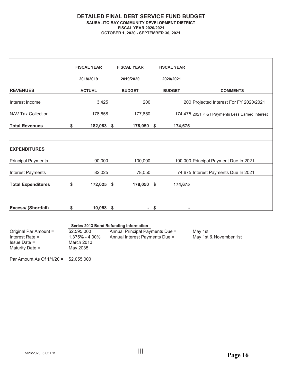#### **DETAILED FINAL DEBT SERVICE FUND BUDGET 6 SAUSALITO BAY COMMUNITY DEVELOPMENT DISTRICT FISCAL YEAR 2020/2021 2070 CTOBER 1, 2020 - SEPTEMBER 30, 2021**

|                            | <b>FISCAL YEAR</b> | <b>FISCAL YEAR</b> | <b>FISCAL YEAR</b> |                                                  |
|----------------------------|--------------------|--------------------|--------------------|--------------------------------------------------|
|                            | 2018/2019          | 2019/2020          | 2020/2021          |                                                  |
| <b>REVENUES</b>            | <b>ACTUAL</b>      | <b>BUDGET</b>      | <b>BUDGET</b>      | <b>COMMENTS</b>                                  |
| Interest Income            | 3,425              | 200                |                    | 200 Projected Interest For FY 2020/2021          |
| NAV Tax Collection         | 178,658            | 177,850            |                    | 174,475 2021 P & I Payments Less Earned Interest |
| <b>Total Revenues</b>      | 182,083<br>\$      | \$<br>178,050      | \$<br>174,675      |                                                  |
|                            |                    |                    |                    |                                                  |
| <b>EXPENDITURES</b>        |                    |                    |                    |                                                  |
| <b>Principal Payments</b>  | 90,000             | 100,000            |                    | 100,000 Principal Payment Due In 2021            |
| <b>Interest Payments</b>   | 82,025             | 78,050             |                    | 74,675 Interest Payments Due In 2021             |
| <b>Total Expenditures</b>  | 172,025<br>\$      | \$<br>178,050      | \$<br>174,675      |                                                  |
|                            |                    |                    |                    |                                                  |
| <b>Excess/ (Shortfall)</b> | \$<br>10,058       | \$                 | S                  |                                                  |

#### **Series 2013 Bond Refunding Information**

| Original Par Amount = | \$2,595,000    | Annual Principal Payments Due = | Mav 1st                |
|-----------------------|----------------|---------------------------------|------------------------|
| Interest Rate $=$     | 1.375% - 4.00% | Annual Interest Payments Due =  | May 1st & November 1st |
| $Is sue Date =$       | March 2013     |                                 |                        |
| Maturity Date =       | May 2035       |                                 |                        |
|                       |                |                                 |                        |

Par Amount As Of  $1/1/20 = $2,055,000$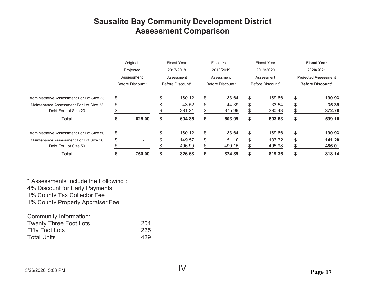## **Sausalito Bay Community Development District Assessment Comparison**

|                                                                | Original<br>Projected<br>Assessment |                  | <b>Fiscal Year</b><br>2017/2018<br>Assessment |                  | <b>Fiscal Year</b><br>2018/2019<br>Assessment |                  | <b>Fiscal Year</b><br>2019/2020<br>Assessment |                  | <b>Fiscal Year</b><br>2020/2021<br><b>Projected Assessment</b> |                         |
|----------------------------------------------------------------|-------------------------------------|------------------|-----------------------------------------------|------------------|-----------------------------------------------|------------------|-----------------------------------------------|------------------|----------------------------------------------------------------|-------------------------|
|                                                                |                                     | Before Discount* |                                               | Before Discount* |                                               | Before Discount* |                                               | Before Discount* |                                                                | <b>Before Discount*</b> |
| Administrative Assessment For Lot Size 23                      | \$                                  | $\sim$           | \$                                            | 180.12           | \$                                            | 183.64           | \$                                            | 189.66           | \$                                                             | 190.93                  |
| Maintenance Assessment For Lot Size 23<br>Debt For Lot Size 23 | \$                                  | $\blacksquare$   |                                               | 43.52<br>381.21  | \$<br>\$                                      | 44.39<br>375.96  | \$<br>\$                                      | 33.54<br>380.43  | \$                                                             | 35.39<br>372.78         |
| <b>Total</b>                                                   | \$                                  | 625.00           | \$                                            | 604.85           | \$                                            | 603.99           | \$                                            | 603.63           | \$                                                             | 599.10                  |
| Administrative Assessment For Lot Size 50                      | \$                                  | $\sim$           | \$                                            | 180.12           | \$                                            | 183.64           | \$                                            | 189.66           | \$                                                             | 190.93                  |
| Maintenance Assessment For Lot Size 50<br>Debt For Lot Size 50 | \$                                  | $\blacksquare$   |                                               | 149.57<br>496.99 | \$<br>\$                                      | 151.10<br>490.15 | \$<br>S                                       | 133.72<br>495.98 | \$                                                             | 141.20<br>486.01        |
| <b>Total</b>                                                   | \$                                  | 750.00           | S                                             | 826.68           | \$                                            | 824.89           | \$                                            | 819.36           | \$                                                             | 818.14                  |

 $^\star$  Assessments Include the Following :

4% Discount for Early Payments 1% County Tax Collector Fee 1% County Property Appraiser Fee

| Community Information:        |     |
|-------------------------------|-----|
| <b>Twenty Three Foot Lots</b> | 204 |
| <b>Fifty Foot Lots</b>        | 225 |
| <b>Total Units</b>            | 429 |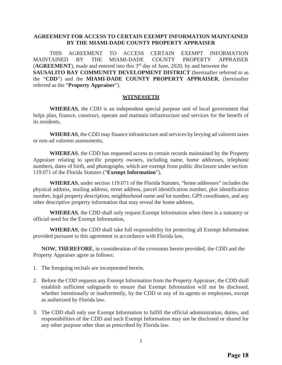#### **AGREEMENT FOR ACCESS TO CERTAIN EXEMPT INFORMATION MAINTAINED BY THE MIAMI-DADE COUNTY PROPERTY APPRAISER**

THIS AGREEMENT TO ACCESS CERTAIN EXEMPT INFORMATION MAINTAINED BY THE MIAMI-DADE COUNTY PROPERTY APPRAISER (**AGREEMENT**), made and entered into this 3rd day of June, 2020, by and between the **SAUSALITO BAY COMMUNITY DEVELOPMENT DISTRICT** (hereinafter referred to as the "**CDD**") and the **MIAMI-DADE COUNTY PROPERTY APPRAISER**, (hereinafter referred as the "**Property Appraiser**").

#### **WITNESSETH**

**WHEREAS**, the CDD is an independent special purpose unit of local government that helps plan, finance, construct, operate and maintain infrastructure and services for the benefit of its residents,

**WHEREAS**, the CDD may finance infrastructure and services by levying ad valorem taxes or non-ad valorem assessments,

**WHEREAS**, the CDD has requested access to certain records maintained by the Property Appraiser relating to specific property owners, including name, home addresses, telephone numbers, dates of birth, and photographs, which are exempt from public disclosure under section 119.071 of the Florida Statutes ("**Exempt Information**"),

**WHEREAS**, under section 119.071 of the Florida Statutes, "home addresses" includes the physical address, mailing address, street address, parcel identification number, plot identification number, legal property description, neighborhood name and lot number, GPS coordinates, and any other descriptive property information that may reveal the home address,

**WHEREAS**, the CDD shall only request Exempt Information when there is a statutory or official need for the Exempt Information,

**WHEREAS**, the CDD shall take full responsibility for protecting all Exempt Information provided pursuant to this agreement in accordance with Florida law,

**NOW, THEREFORE**, in consideration of the covenants herein provided, the CDD and the Property Appraiser agree as follows:

- 1. The foregoing recitals are incorporated herein.
- 2. Before the CDD requests any Exempt Information from the Property Appraiser, the CDD shall establish sufficient safeguards to ensure that Exempt Information will not be disclosed, whether intentionally or inadvertently, by the CDD or any of its agents or employees, except as authorized by Florida law.
- 3. The CDD shall only use Exempt Information to fulfill the official administration, duties, and responsibilities of the CDD and such Exempt Information may not be disclosed or shared for any other purpose other than as prescribed by Florida law.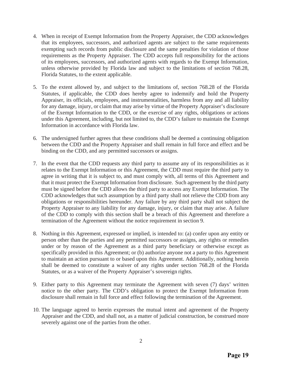- 4. When in receipt of Exempt Information from the Property Appraiser, the CDD acknowledges that its employees, successors, and authorized agents are subject to the same requirements exempting such records from public disclosure and the same penalties for violation of those requirements as the Property Appraiser. The CDD accepts full responsibility for the actions of its employees, successors, and authorized agents with regards to the Exempt Information, unless otherwise provided by Florida law and subject to the limitations of section 768.28, Florida Statutes, to the extent applicable.
- 5. To the extent allowed by, and subject to the limitations of, section 768.28 of the Florida Statutes, if applicable, the CDD does hereby agree to indemnify and hold the Property Appraiser, its officials, employees, and instrumentalities, harmless from any and all liability for any damage, injury, or claim that may arise by virtue of the Property Appraiser's disclosure of the Exempt Information to the CDD, or the exercise of any rights, obligations or actions under this Agreement, including, but not limited to, the CDD's failure to maintain the Exempt Information in accordance with Florida law.
- 6. The undersigned further agrees that these conditions shall be deemed a continuing obligation between the CDD and the Property Appraiser and shall remain in full force and effect and be binding on the CDD, and any permitted successors or assigns.
- 7. In the event that the CDD requests any third party to assume any of its responsibilities as it relates to the Exempt Information or this Agreement, the CDD must require the third party to agree in writing that it is subject to, and must comply with, all terms of this Agreement and that it must protect the Exempt Information from disclosure. Such agreement by the third party must be signed before the CDD allows the third party to access any Exempt Information. The CDD acknowledges that such assumption by a third party shall not relieve the CDD from any obligations or responsibilities hereunder. Any failure by any third party shall not subject the Property Appraiser to any liability for any damage, injury, or claim that may arise. A failure of the CDD to comply with this section shall be a breach of this Agreement and therefore a termination of the Agreement without the notice requirement in section 9.
- 8. Nothing in this Agreement, expressed or implied, is intended to: (a) confer upon any entity or person other than the parties and any permitted successors or assigns, any rights or remedies under or by reason of the Agreement as a third party beneficiary or otherwise except as specifically provided in this Agreement; or (b) authorize anyone not a party to this Agreement to maintain an action pursuant to or based upon this Agreement. Additionally, nothing herein shall be deemed to constitute a waiver of any rights under section 768.28 of the Florida Statutes, or as a waiver of the Property Appraiser's sovereign rights.
- 9. Either party to this Agreement may terminate the Agreement with seven (7) days' written notice to the other party. The CDD's obligation to protect the Exempt Information from disclosure shall remain in full force and effect following the termination of the Agreement.
- 10. The language agreed to herein expresses the mutual intent and agreement of the Property Appraiser and the CDD, and shall not, as a matter of judicial construction, be construed more severely against one of the parties from the other.